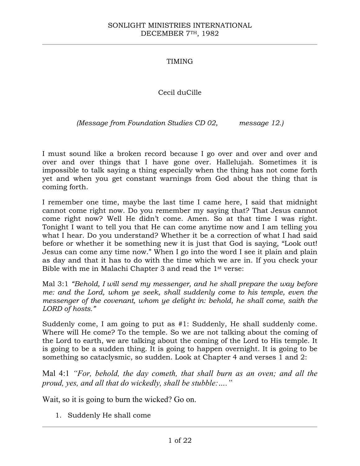# TIMING

# Cecil duCille

*(Message from Foundation Studies CD 02, message 12.)*

I must sound like a broken record because I go over and over and over and over and over things that I have gone over. Hallelujah. Sometimes it is impossible to talk saying a thing especially when the thing has not come forth yet and when you get constant warnings from God about the thing that is coming forth.

I remember one time, maybe the last time I came here, I said that midnight cannot come right now. Do you remember my saying that? That Jesus cannot come right now? Well He didn't come. Amen. So at that time I was right. Tonight I want to tell you that He can come anytime now and I am telling you what I hear. Do you understand? Whether it be a correction of what I had said before or whether it be something new it is just that God is saying, "Look out! Jesus can come any time now." When I go into the word I see it plain and plain as day and that it has to do with the time which we are in. If you check your Bible with me in Malachi Chapter 3 and read the 1st verse:

Mal 3:1 *"Behold, I will send my messenger, and he shall prepare the way before me: and the Lord, whom ye seek, shall suddenly come to his temple, even the messenger of the covenant, whom ye delight in: behold, he shall come, saith the LORD of hosts."*

Suddenly come, I am going to put as #1: Suddenly, He shall suddenly come. Where will He come? To the temple. So we are not talking about the coming of the Lord to earth, we are talking about the coming of the Lord to His temple. It is going to be a sudden thing. It is going to happen overnight. It is going to be something so cataclysmic, so sudden. Look at Chapter 4 and verses 1 and 2:

Mal 4:1 *"For, behold, the day cometh, that shall burn as an oven; and all the proud, yes, and all that do wickedly, shall be stubble:…."*

Wait, so it is going to burn the wicked? Go on.

1. Suddenly He shall come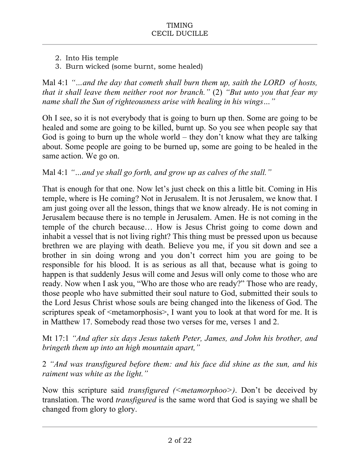- 2. Into His temple
- 3. Burn wicked (some burnt, some healed)

Mal 4:1 *"…and the day that cometh shall burn them up, saith the LORD of hosts, that it shall leave them neither root nor branch."* (2) *"But unto you that fear my name shall the Sun of righteousness arise with healing in his wings…"*

Oh I see, so it is not everybody that is going to burn up then. Some are going to be healed and some are going to be killed, burnt up. So you see when people say that God is going to burn up the whole world – they don't know what they are talking about. Some people are going to be burned up, some are going to be healed in the same action. We go on.

# Mal 4:1 *"…and ye shall go forth, and grow up as calves of the stall."*

That is enough for that one. Now let's just check on this a little bit. Coming in His temple, where is He coming? Not in Jerusalem. It is not Jerusalem, we know that. I am just going over all the lesson, things that we know already. He is not coming in Jerusalem because there is no temple in Jerusalem. Amen. He is not coming in the temple of the church because… How is Jesus Christ going to come down and inhabit a vessel that is not living right? This thing must be pressed upon us because brethren we are playing with death. Believe you me, if you sit down and see a brother in sin doing wrong and you don't correct him you are going to be responsible for his blood. It is as serious as all that, because what is going to happen is that suddenly Jesus will come and Jesus will only come to those who are ready. Now when I ask you, "Who are those who are ready?" Those who are ready, those people who have submitted their soul nature to God, submitted their souls to the Lord Jesus Christ whose souls are being changed into the likeness of God. The scriptures speak of  $\leq$  metamorphosis $>$ , I want you to look at that word for me. It is in Matthew 17. Somebody read those two verses for me, verses 1 and 2.

Mt 17:1 *"And after six days Jesus taketh Peter, James, and John his brother, and bringeth them up into an high mountain apart,"*

2 *"And was transfigured before them: and his face did shine as the sun, and his raiment was white as the light."*

Now this scripture said *transfigured (<metamorphoo>)*. Don't be deceived by translation. The word *transfigured* is the same word that God is saying we shall be changed from glory to glory.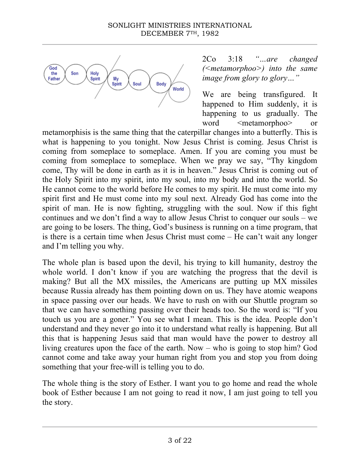

2Co 3:18 *"…are changed (<metamorphoo>) into the same image from glory to glory…"*

We are being transfigured. It happened to Him suddenly, it is happening to us gradually. The word <metamorphoo> or

metamorphisis is the same thing that the caterpillar changes into a butterfly. This is what is happening to you tonight. Now Jesus Christ is coming. Jesus Christ is coming from someplace to someplace. Amen. If you are coming you must be coming from someplace to someplace. When we pray we say, "Thy kingdom come, Thy will be done in earth as it is in heaven." Jesus Christ is coming out of the Holy Spirit into my spirit, into my soul, into my body and into the world. So He cannot come to the world before He comes to my spirit. He must come into my spirit first and He must come into my soul next. Already God has come into the spirit of man. He is now fighting, struggling with the soul. Now if this fight continues and we don't find a way to allow Jesus Christ to conquer our souls – we are going to be losers. The thing, God's business is running on a time program, that is there is a certain time when Jesus Christ must come – He can't wait any longer and I'm telling you why.

The whole plan is based upon the devil, his trying to kill humanity, destroy the whole world. I don't know if you are watching the progress that the devil is making? But all the MX missiles, the Americans are putting up MX missiles because Russia already has them pointing down on us. They have atomic weapons in space passing over our heads. We have to rush on with our Shuttle program so that we can have something passing over their heads too. So the word is: "If you touch us you are a goner." You see what I mean. This is the idea. People don't understand and they never go into it to understand what really is happening. But all this that is happening Jesus said that man would have the power to destroy all living creatures upon the face of the earth. Now – who is going to stop him? God cannot come and take away your human right from you and stop you from doing something that your free-will is telling you to do.

The whole thing is the story of Esther. I want you to go home and read the whole book of Esther because I am not going to read it now, I am just going to tell you the story.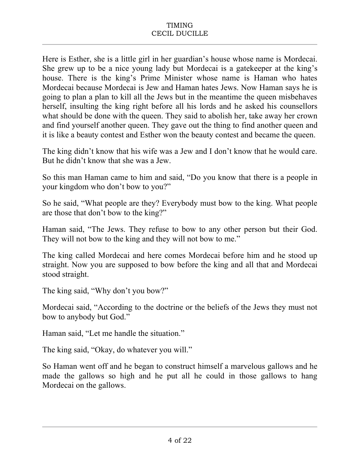Here is Esther, she is a little girl in her guardian's house whose name is Mordecai. She grew up to be a nice young lady but Mordecai is a gatekeeper at the king's house. There is the king's Prime Minister whose name is Haman who hates Mordecai because Mordecai is Jew and Haman hates Jews. Now Haman says he is going to plan a plan to kill all the Jews but in the meantime the queen misbehaves herself, insulting the king right before all his lords and he asked his counsellors what should be done with the queen. They said to abolish her, take away her crown and find yourself another queen. They gave out the thing to find another queen and it is like a beauty contest and Esther won the beauty contest and became the queen.

The king didn't know that his wife was a Jew and I don't know that he would care. But he didn't know that she was a Jew.

So this man Haman came to him and said, "Do you know that there is a people in your kingdom who don't bow to you?"

So he said, "What people are they? Everybody must bow to the king. What people are those that don't bow to the king?"

Haman said, "The Jews. They refuse to bow to any other person but their God. They will not bow to the king and they will not bow to me."

The king called Mordecai and here comes Mordecai before him and he stood up straight. Now you are supposed to bow before the king and all that and Mordecai stood straight.

The king said, "Why don't you bow?"

Mordecai said, "According to the doctrine or the beliefs of the Jews they must not bow to anybody but God."

Haman said, "Let me handle the situation."

The king said, "Okay, do whatever you will."

So Haman went off and he began to construct himself a marvelous gallows and he made the gallows so high and he put all he could in those gallows to hang Mordecai on the gallows.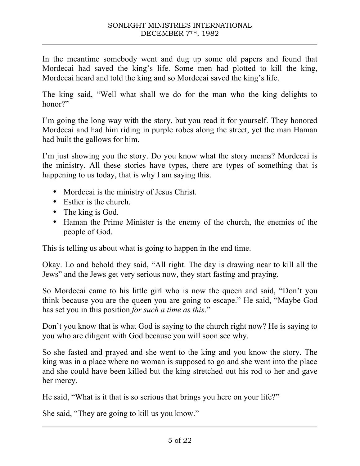In the meantime somebody went and dug up some old papers and found that Mordecai had saved the king's life. Some men had plotted to kill the king, Mordecai heard and told the king and so Mordecai saved the king's life.

The king said, "Well what shall we do for the man who the king delights to honor?"

I'm going the long way with the story, but you read it for yourself. They honored Mordecai and had him riding in purple robes along the street, yet the man Haman had built the gallows for him.

I'm just showing you the story. Do you know what the story means? Mordecai is the ministry. All these stories have types, there are types of something that is happening to us today, that is why I am saying this.

- Mordecai is the ministry of Jesus Christ.
- Esther is the church.
- The king is God.
- Haman the Prime Minister is the enemy of the church, the enemies of the people of God.

This is telling us about what is going to happen in the end time.

Okay. Lo and behold they said, "All right. The day is drawing near to kill all the Jews" and the Jews get very serious now, they start fasting and praying.

So Mordecai came to his little girl who is now the queen and said, "Don't you think because you are the queen you are going to escape." He said, "Maybe God has set you in this position *for such a time as this*."

Don't you know that is what God is saying to the church right now? He is saying to you who are diligent with God because you will soon see why.

So she fasted and prayed and she went to the king and you know the story. The king was in a place where no woman is supposed to go and she went into the place and she could have been killed but the king stretched out his rod to her and gave her mercy.

He said, "What is it that is so serious that brings you here on your life?"

She said, "They are going to kill us you know."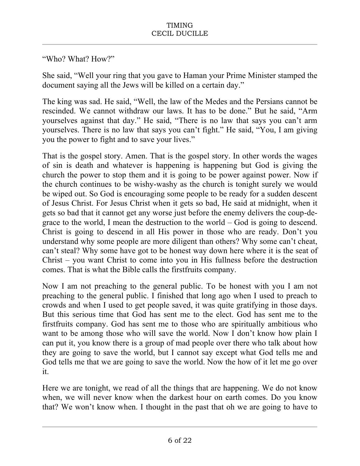# "Who? What? How?"

She said, "Well your ring that you gave to Haman your Prime Minister stamped the document saying all the Jews will be killed on a certain day."

The king was sad. He said, "Well, the law of the Medes and the Persians cannot be rescinded. We cannot withdraw our laws. It has to be done." But he said, "Arm yourselves against that day." He said, "There is no law that says you can't arm yourselves. There is no law that says you can't fight." He said, "You, I am giving you the power to fight and to save your lives."

That is the gospel story. Amen. That is the gospel story. In other words the wages of sin is death and whatever is happening is happening but God is giving the church the power to stop them and it is going to be power against power. Now if the church continues to be wishy-washy as the church is tonight surely we would be wiped out. So God is encouraging some people to be ready for a sudden descent of Jesus Christ. For Jesus Christ when it gets so bad, He said at midnight, when it gets so bad that it cannot get any worse just before the enemy delivers the coup-degrace to the world, I mean the destruction to the world – God is going to descend. Christ is going to descend in all His power in those who are ready. Don't you understand why some people are more diligent than others? Why some can't cheat, can't steal? Why some have got to be honest way down here where it is the seat of Christ – you want Christ to come into you in His fullness before the destruction comes. That is what the Bible calls the firstfruits company.

Now I am not preaching to the general public. To be honest with you I am not preaching to the general public. I finished that long ago when I used to preach to crowds and when I used to get people saved, it was quite gratifying in those days. But this serious time that God has sent me to the elect. God has sent me to the firstfruits company. God has sent me to those who are spiritually ambitious who want to be among those who will save the world. Now I don't know how plain I can put it, you know there is a group of mad people over there who talk about how they are going to save the world, but I cannot say except what God tells me and God tells me that we are going to save the world. Now the how of it let me go over it.

Here we are tonight, we read of all the things that are happening. We do not know when, we will never know when the darkest hour on earth comes. Do you know that? We won't know when. I thought in the past that oh we are going to have to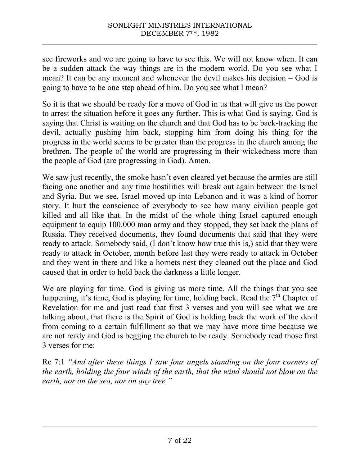see fireworks and we are going to have to see this. We will not know when. It can be a sudden attack the way things are in the modern world. Do you see what I mean? It can be any moment and whenever the devil makes his decision – God is going to have to be one step ahead of him. Do you see what I mean?

So it is that we should be ready for a move of God in us that will give us the power to arrest the situation before it goes any further. This is what God is saying. God is saying that Christ is waiting on the church and that God has to be back-tracking the devil, actually pushing him back, stopping him from doing his thing for the progress in the world seems to be greater than the progress in the church among the brethren. The people of the world are progressing in their wickedness more than the people of God (are progressing in God). Amen.

We saw just recently, the smoke hasn't even cleared yet because the armies are still facing one another and any time hostilities will break out again between the Israel and Syria. But we see, Israel moved up into Lebanon and it was a kind of horror story. It hurt the conscience of everybody to see how many civilian people got killed and all like that. In the midst of the whole thing Israel captured enough equipment to equip 100,000 man army and they stopped, they set back the plans of Russia. They received documents, they found documents that said that they were ready to attack. Somebody said, (I don't know how true this is,) said that they were ready to attack in October, month before last they were ready to attack in October and they went in there and like a hornets nest they cleaned out the place and God caused that in order to hold back the darkness a little longer.

We are playing for time. God is giving us more time. All the things that you see happening, it's time, God is playing for time, holding back. Read the  $7<sup>th</sup>$  Chapter of Revelation for me and just read that first 3 verses and you will see what we are talking about, that there is the Spirit of God is holding back the work of the devil from coming to a certain fulfillment so that we may have more time because we are not ready and God is begging the church to be ready. Somebody read those first 3 verses for me:

Re 7:1 *"And after these things I saw four angels standing on the four corners of the earth, holding the four winds of the earth, that the wind should not blow on the earth, nor on the sea, nor on any tree."*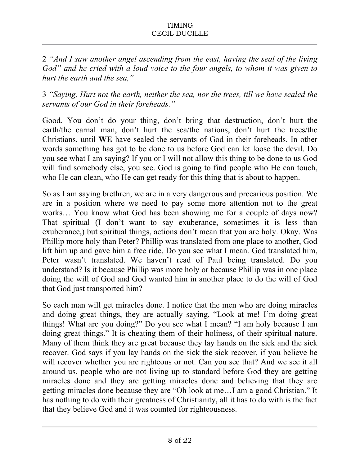2 *"And I saw another angel ascending from the east, having the seal of the living God" and he cried with a loud voice to the four angels, to whom it was given to hurt the earth and the sea,"*

3 *"Saying, Hurt not the earth, neither the sea, nor the trees, till we have sealed the servants of our God in their foreheads."*

Good. You don't do your thing, don't bring that destruction, don't hurt the earth/the carnal man, don't hurt the sea/the nations, don't hurt the trees/the Christians, until **WE** have sealed the servants of God in their foreheads. In other words something has got to be done to us before God can let loose the devil. Do you see what I am saying? If you or I will not allow this thing to be done to us God will find somebody else, you see. God is going to find people who He can touch, who He can clean, who He can get ready for this thing that is about to happen.

So as I am saying brethren, we are in a very dangerous and precarious position. We are in a position where we need to pay some more attention not to the great works… You know what God has been showing me for a couple of days now? That spiritual (I don't want to say exuberance, sometimes it is less than exuberance,) but spiritual things, actions don't mean that you are holy. Okay. Was Phillip more holy than Peter? Phillip was translated from one place to another, God lift him up and gave him a free ride. Do you see what I mean. God translated him, Peter wasn't translated. We haven't read of Paul being translated. Do you understand? Is it because Phillip was more holy or because Phillip was in one place doing the will of God and God wanted him in another place to do the will of God that God just transported him?

So each man will get miracles done. I notice that the men who are doing miracles and doing great things, they are actually saying, "Look at me! I'm doing great things! What are you doing?" Do you see what I mean? "I am holy because I am doing great things." It is cheating them of their holiness, of their spiritual nature. Many of them think they are great because they lay hands on the sick and the sick recover. God says if you lay hands on the sick the sick recover, if you believe he will recover whether you are righteous or not. Can you see that? And we see it all around us, people who are not living up to standard before God they are getting miracles done and they are getting miracles done and believing that they are getting miracles done because they are "Oh look at me…I am a good Christian." It has nothing to do with their greatness of Christianity, all it has to do with is the fact that they believe God and it was counted for righteousness.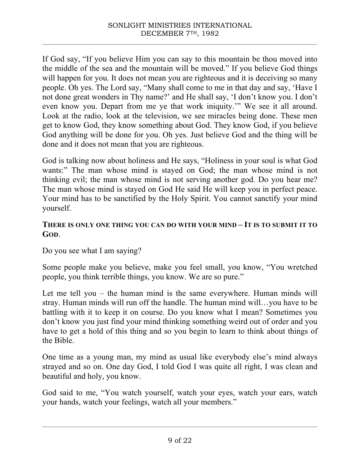If God say, "If you believe Him you can say to this mountain be thou moved into the middle of the sea and the mountain will be moved." If you believe God things will happen for you. It does not mean you are righteous and it is deceiving so many people. Oh yes. The Lord say, "Many shall come to me in that day and say, 'Have I not done great wonders in Thy name?' and He shall say, 'I don't know you. I don't even know you. Depart from me ye that work iniquity.'" We see it all around. Look at the radio, look at the television, we see miracles being done. These men get to know God, they know something about God. They know God, if you believe God anything will be done for you. Oh yes. Just believe God and the thing will be done and it does not mean that you are righteous.

God is talking now about holiness and He says, "Holiness in your soul is what God wants:" The man whose mind is stayed on God; the man whose mind is not thinking evil; the man whose mind is not serving another god. Do you hear me? The man whose mind is stayed on God He said He will keep you in perfect peace. Your mind has to be sanctified by the Holy Spirit. You cannot sanctify your mind yourself.

# **THERE IS ONLY ONE THING YOU CAN DO WITH YOUR MIND – IT IS TO SUBMIT IT TO GOD**.

Do you see what I am saying?

Some people make you believe, make you feel small, you know, "You wretched people, you think terrible things, you know. We are so pure."

Let me tell you – the human mind is the same everywhere. Human minds will stray. Human minds will run off the handle. The human mind will…you have to be battling with it to keep it on course. Do you know what I mean? Sometimes you don't know you just find your mind thinking something weird out of order and you have to get a hold of this thing and so you begin to learn to think about things of the Bible.

One time as a young man, my mind as usual like everybody else's mind always strayed and so on. One day God, I told God I was quite all right, I was clean and beautiful and holy, you know.

God said to me, "You watch yourself, watch your eyes, watch your ears, watch your hands, watch your feelings, watch all your members."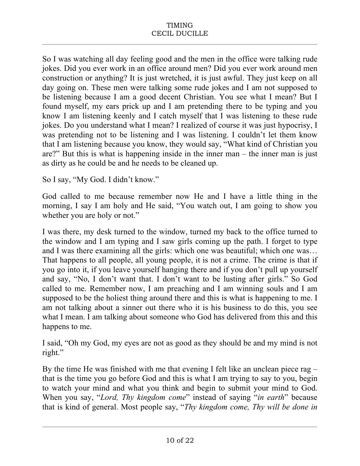So I was watching all day feeling good and the men in the office were talking rude jokes. Did you ever work in an office around men? Did you ever work around men construction or anything? It is just wretched, it is just awful. They just keep on all day going on. These men were talking some rude jokes and I am not supposed to be listening because I am a good decent Christian. You see what I mean? But I found myself, my ears prick up and I am pretending there to be typing and you know I am listening keenly and I catch myself that I was listening to these rude jokes. Do you understand what I mean? I realized of course it was just hypocrisy, I was pretending not to be listening and I was listening. I couldn't let them know that I am listening because you know, they would say, "What kind of Christian you are?" But this is what is happening inside in the inner man – the inner man is just as dirty as he could be and he needs to be cleaned up.

So I say, "My God. I didn't know."

God called to me because remember now He and I have a little thing in the morning, I say I am holy and He said, "You watch out, I am going to show you whether you are holy or not."

I was there, my desk turned to the window, turned my back to the office turned to the window and I am typing and I saw girls coming up the path. I forget to type and I was there examining all the girls: which one was beautiful; which one was... That happens to all people, all young people, it is not a crime. The crime is that if you go into it, if you leave yourself hanging there and if you don't pull up yourself and say, "No, I don't want that. I don't want to be lusting after girls." So God called to me. Remember now, I am preaching and I am winning souls and I am supposed to be the holiest thing around there and this is what is happening to me. I am not talking about a sinner out there who it is his business to do this, you see what I mean. I am talking about someone who God has delivered from this and this happens to me.

I said, "Oh my God, my eyes are not as good as they should be and my mind is not right."

By the time He was finished with me that evening I felt like an unclean piece rag – that is the time you go before God and this is what I am trying to say to you, begin to watch your mind and what you think and begin to submit your mind to God. When you say, "*Lord, Thy kingdom come*" instead of saying "*in earth*" because that is kind of general. Most people say, "*Thy kingdom come, Thy will be done in*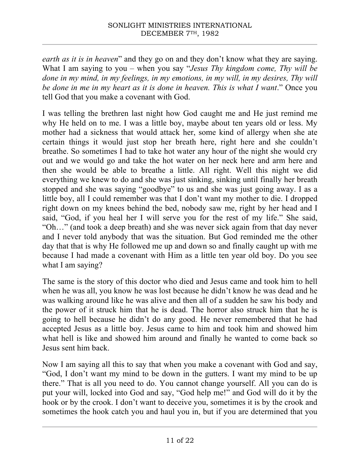*earth as it is in heaven*" and they go on and they don't know what they are saying. What I am saying to you – when you say "*Jesus Thy kingdom come, Thy will be done in my mind, in my feelings, in my emotions, in my will, in my desires, Thy will be done in me in my heart as it is done in heaven. This is what I want*." Once you tell God that you make a covenant with God.

I was telling the brethren last night how God caught me and He just remind me why He held on to me. I was a little boy, maybe about ten years old or less. My mother had a sickness that would attack her, some kind of allergy when she ate certain things it would just stop her breath here, right here and she couldn't breathe. So sometimes I had to take hot water any hour of the night she would cry out and we would go and take the hot water on her neck here and arm here and then she would be able to breathe a little. All right. Well this night we did everything we knew to do and she was just sinking, sinking until finally her breath stopped and she was saying "goodbye" to us and she was just going away. I as a little boy, all I could remember was that I don't want my mother to die. I dropped right down on my knees behind the bed, nobody saw me, right by her head and I said, "God, if you heal her I will serve you for the rest of my life." She said, "Oh…" (and took a deep breath) and she was never sick again from that day never and I never told anybody that was the situation. But God reminded me the other day that that is why He followed me up and down so and finally caught up with me because I had made a covenant with Him as a little ten year old boy. Do you see what I am saying?

The same is the story of this doctor who died and Jesus came and took him to hell when he was all, you know he was lost because he didn't know he was dead and he was walking around like he was alive and then all of a sudden he saw his body and the power of it struck him that he is dead. The horror also struck him that he is going to hell because he didn't do any good. He never remembered that he had accepted Jesus as a little boy. Jesus came to him and took him and showed him what hell is like and showed him around and finally he wanted to come back so Jesus sent him back.

Now I am saying all this to say that when you make a covenant with God and say, "God, I don't want my mind to be down in the gutters. I want my mind to be up there." That is all you need to do. You cannot change yourself. All you can do is put your will, locked into God and say, "God help me!" and God will do it by the hook or by the crook. I don't want to deceive you, sometimes it is by the crook and sometimes the hook catch you and haul you in, but if you are determined that you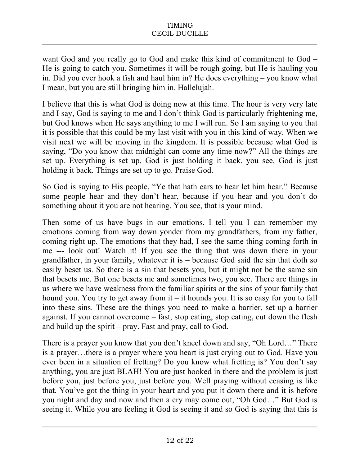want God and you really go to God and make this kind of commitment to God – He is going to catch you. Sometimes it will be rough going, but He is hauling you in. Did you ever hook a fish and haul him in? He does everything – you know what I mean, but you are still bringing him in. Hallelujah.

I believe that this is what God is doing now at this time. The hour is very very late and I say, God is saying to me and I don't think God is particularly frightening me, but God knows when He says anything to me I will run. So I am saying to you that it is possible that this could be my last visit with you in this kind of way. When we visit next we will be moving in the kingdom. It is possible because what God is saying, "Do you know that midnight can come any time now?" All the things are set up. Everything is set up, God is just holding it back, you see, God is just holding it back. Things are set up to go. Praise God.

So God is saying to His people, "Ye that hath ears to hear let him hear." Because some people hear and they don't hear, because if you hear and you don't do something about it you are not hearing. You see, that is your mind.

Then some of us have bugs in our emotions. I tell you I can remember my emotions coming from way down yonder from my grandfathers, from my father, coming right up. The emotions that they had, I see the same thing coming forth in me --- look out! Watch it! If you see the thing that was down there in your grandfather, in your family, whatever it is – because God said the sin that doth so easily beset us. So there is a sin that besets you, but it might not be the same sin that besets me. But one besets me and sometimes two, you see. There are things in us where we have weakness from the familiar spirits or the sins of your family that hound you. You try to get away from it – it hounds you. It is so easy for you to fall into these sins. These are the things you need to make a barrier, set up a barrier against. If you cannot overcome – fast, stop eating, stop eating, cut down the flesh and build up the spirit – pray. Fast and pray, call to God.

There is a prayer you know that you don't kneel down and say, "Oh Lord…" There is a prayer…there is a prayer where you heart is just crying out to God. Have you ever been in a situation of fretting? Do you know what fretting is? You don't say anything, you are just BLAH! You are just hooked in there and the problem is just before you, just before you, just before you. Well praying without ceasing is like that. You've got the thing in your heart and you put it down there and it is before you night and day and now and then a cry may come out, "Oh God…" But God is seeing it. While you are feeling it God is seeing it and so God is saying that this is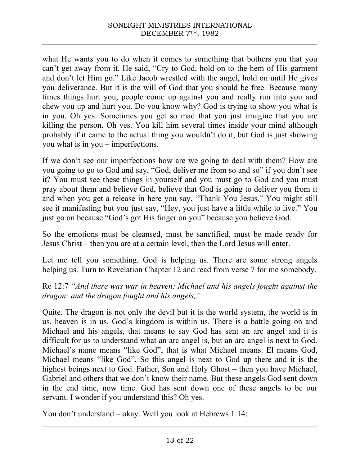what He wants you to do when it comes to something that bothers you that you can't get away from it. He said, "Cry to God, hold on to the hem of His garment and don't let Him go." Like Jacob wrestled with the angel, hold on until He gives you deliverance. But it is the will of God that you should be free. Because many times things hurt you, people come up against you and really run into you and chew you up and hurt you. Do you know why? God is trying to show you what is in you. Oh yes. Sometimes you get so mad that you just imagine that you are killing the person. Oh yes. You kill him several times inside your mind although probably if it came to the actual thing you wouldn't do it, but God is just showing you what is in you – imperfections.

If we don't see our imperfections how are we going to deal with them? How are you going to go to God and say, "God, deliver me from so and so" if you don't see it? You must see these things in yourself and you must go to God and you must pray about them and believe God, believe that God is going to deliver you from it and when you get a release in here you say, "Thank You Jesus." You might still see it manifesting but you just say, "Hey, you just have a little while to live." You just go on because "God's got His finger on you" because you believe God.

So the emotions must be cleansed, must be sanctified, must be made ready for Jesus Christ – then you are at a certain level, then the Lord Jesus will enter.

Let me tell you something. God is helping us. There are some strong angels helping us. Turn to Revelation Chapter 12 and read from verse 7 for me somebody.

Re 12:7 *"And there was war in heaven: Michael and his angels fought against the dragon; and the dragon fought and his angels,"*

Quite. The dragon is not only the devil but it is the world system, the world is in us, heaven is in us, God's kingdom is within us. There is a battle going on and Michael and his angels, that means to say God has sent an arc angel and it is difficult for us to understand what an arc angel is, but an arc angel is next to God. Michael's name means "like God", that is what Micha**el** means. El means God, Michael means "like God". So this angel is next to God up there and it is the highest beings next to God. Father, Son and Holy Ghost – then you have Michael, Gabriel and others that we don't know their name. But these angels God sent down in the end time, now time. God has sent down one of these angels to be our servant. I wonder if you understand this? Oh yes.

You don't understand – okay. Well you look at Hebrews 1:14: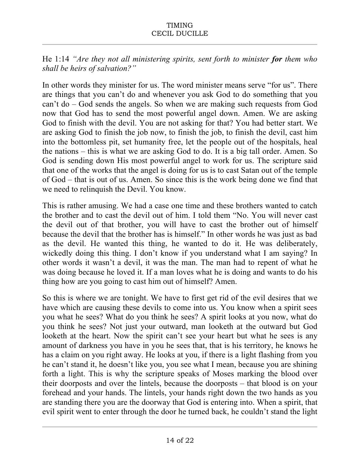He 1:14 *"Are they not all ministering spirits, sent forth to minister for them who shall be heirs of salvation?"*

In other words they minister for us. The word minister means serve "for us". There are things that you can't do and whenever you ask God to do something that you can't do – God sends the angels. So when we are making such requests from God now that God has to send the most powerful angel down. Amen. We are asking God to finish with the devil. You are not asking for that? You had better start. We are asking God to finish the job now, to finish the job, to finish the devil, cast him into the bottomless pit, set humanity free, let the people out of the hospitals, heal the nations – this is what we are asking God to do. It is a big tall order. Amen. So God is sending down His most powerful angel to work for us. The scripture said that one of the works that the angel is doing for us is to cast Satan out of the temple of God – that is out of us. Amen. So since this is the work being done we find that we need to relinquish the Devil. You know.

This is rather amusing. We had a case one time and these brothers wanted to catch the brother and to cast the devil out of him. I told them "No. You will never cast the devil out of that brother, you will have to cast the brother out of himself because the devil that the brother has is himself." In other words he was just as bad as the devil. He wanted this thing, he wanted to do it. He was deliberately, wickedly doing this thing. I don't know if you understand what I am saying? In other words it wasn't a devil, it was the man. The man had to repent of what he was doing because he loved it. If a man loves what he is doing and wants to do his thing how are you going to cast him out of himself? Amen.

So this is where we are tonight. We have to first get rid of the evil desires that we have which are causing these devils to come into us. You know when a spirit sees you what he sees? What do you think he sees? A spirit looks at you now, what do you think he sees? Not just your outward, man looketh at the outward but God looketh at the heart. Now the spirit can't see your heart but what he sees is any amount of darkness you have in you he sees that, that is his territory, he knows he has a claim on you right away. He looks at you, if there is a light flashing from you he can't stand it, he doesn't like you, you see what I mean, because you are shining forth a light. This is why the scripture speaks of Moses marking the blood over their doorposts and over the lintels, because the doorposts – that blood is on your forehead and your hands. The lintels, your hands right down the two hands as you are standing there you are the doorway that God is entering into. When a spirit, that evil spirit went to enter through the door he turned back, he couldn't stand the light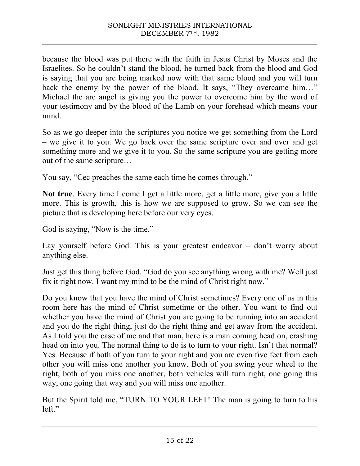because the blood was put there with the faith in Jesus Christ by Moses and the Israelites. So he couldn't stand the blood, he turned back from the blood and God is saying that you are being marked now with that same blood and you will turn back the enemy by the power of the blood. It says, "They overcame him…" Michael the arc angel is giving you the power to overcome him by the word of your testimony and by the blood of the Lamb on your forehead which means your mind.

So as we go deeper into the scriptures you notice we get something from the Lord – we give it to you. We go back over the same scripture over and over and get something more and we give it to you. So the same scripture you are getting more out of the same scripture…

You say, "Cec preaches the same each time he comes through."

**Not true**. Every time I come I get a little more, get a little more, give you a little more. This is growth, this is how we are supposed to grow. So we can see the picture that is developing here before our very eyes.

God is saying, "Now is the time."

Lay yourself before God. This is your greatest endeavor – don't worry about anything else.

Just get this thing before God. "God do you see anything wrong with me? Well just fix it right now. I want my mind to be the mind of Christ right now."

Do you know that you have the mind of Christ sometimes? Every one of us in this room here has the mind of Christ sometime or the other. You want to find out whether you have the mind of Christ you are going to be running into an accident and you do the right thing, just do the right thing and get away from the accident. As I told you the case of me and that man, here is a man coming head on, crashing head on into you. The normal thing to do is to turn to your right. Isn't that normal? Yes. Because if both of you turn to your right and you are even five feet from each other you will miss one another you know. Both of you swing your wheel to the right, both of you miss one another, both vehicles will turn right, one going this way, one going that way and you will miss one another.

But the Spirit told me, "TURN TO YOUR LEFT! The man is going to turn to his left."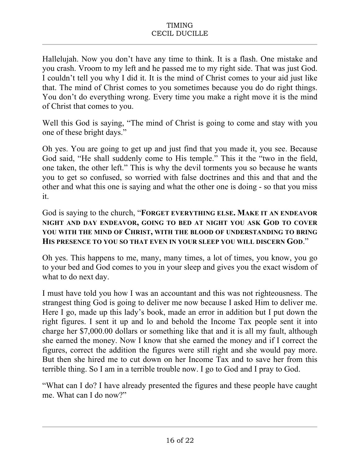Hallelujah. Now you don't have any time to think. It is a flash. One mistake and you crash. Vroom to my left and he passed me to my right side. That was just God. I couldn't tell you why I did it. It is the mind of Christ comes to your aid just like that. The mind of Christ comes to you sometimes because you do do right things. You don't do everything wrong. Every time you make a right move it is the mind of Christ that comes to you.

Well this God is saying, "The mind of Christ is going to come and stay with you one of these bright days."

Oh yes. You are going to get up and just find that you made it, you see. Because God said, "He shall suddenly come to His temple." This it the "two in the field, one taken, the other left." This is why the devil torments you so because he wants you to get so confused, so worried with false doctrines and this and that and the other and what this one is saying and what the other one is doing - so that you miss it.

God is saying to the church, "**FORGET EVERYTHING ELSE. MAKE IT AN ENDEAVOR NIGHT AND DAY ENDEAVOR, GOING TO BED AT NIGHT YOU ASK GOD TO COVER YOU WITH THE MIND OF CHRIST, WITH THE BLOOD OF UNDERSTANDING TO BRING HIS PRESENCE TO YOU SO THAT EVEN IN YOUR SLEEP YOU WILL DISCERN GOD**."

Oh yes. This happens to me, many, many times, a lot of times, you know, you go to your bed and God comes to you in your sleep and gives you the exact wisdom of what to do next day.

I must have told you how I was an accountant and this was not righteousness. The strangest thing God is going to deliver me now because I asked Him to deliver me. Here I go, made up this lady's book, made an error in addition but I put down the right figures. I sent it up and lo and behold the Income Tax people sent it into charge her \$7,000.00 dollars or something like that and it is all my fault, although she earned the money. Now I know that she earned the money and if I correct the figures, correct the addition the figures were still right and she would pay more. But then she hired me to cut down on her Income Tax and to save her from this terrible thing. So I am in a terrible trouble now. I go to God and I pray to God.

"What can I do? I have already presented the figures and these people have caught me. What can I do now?"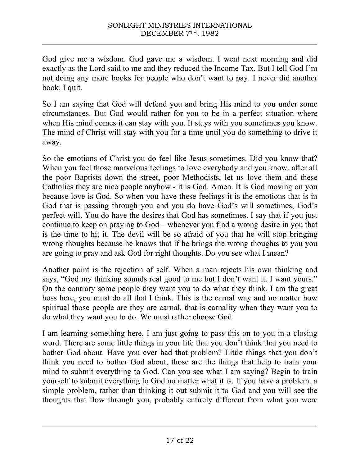God give me a wisdom. God gave me a wisdom. I went next morning and did exactly as the Lord said to me and they reduced the Income Tax. But I tell God I'm not doing any more books for people who don't want to pay. I never did another book. I quit.

So I am saying that God will defend you and bring His mind to you under some circumstances. But God would rather for you to be in a perfect situation where when His mind comes it can stay with you. It stays with you sometimes you know. The mind of Christ will stay with you for a time until you do something to drive it away.

So the emotions of Christ you do feel like Jesus sometimes. Did you know that? When you feel those marvelous feelings to love everybody and you know, after all the poor Baptists down the street, poor Methodists, let us love them and these Catholics they are nice people anyhow - it is God. Amen. It is God moving on you because love is God. So when you have these feelings it is the emotions that is in God that is passing through you and you do have God's will sometimes, God's perfect will. You do have the desires that God has sometimes. I say that if you just continue to keep on praying to God – whenever you find a wrong desire in you that is the time to hit it. The devil will be so afraid of you that he will stop bringing wrong thoughts because he knows that if he brings the wrong thoughts to you you are going to pray and ask God for right thoughts. Do you see what I mean?

Another point is the rejection of self. When a man rejects his own thinking and says, "God my thinking sounds real good to me but I don't want it. I want yours." On the contrary some people they want you to do what they think. I am the great boss here, you must do all that I think. This is the carnal way and no matter how spiritual those people are they are carnal, that is carnality when they want you to do what they want you to do. We must rather choose God.

I am learning something here, I am just going to pass this on to you in a closing word. There are some little things in your life that you don't think that you need to bother God about. Have you ever had that problem? Little things that you don't think you need to bother God about, those are the things that help to train your mind to submit everything to God. Can you see what I am saying? Begin to train yourself to submit everything to God no matter what it is. If you have a problem, a simple problem, rather than thinking it out submit it to God and you will see the thoughts that flow through you, probably entirely different from what you were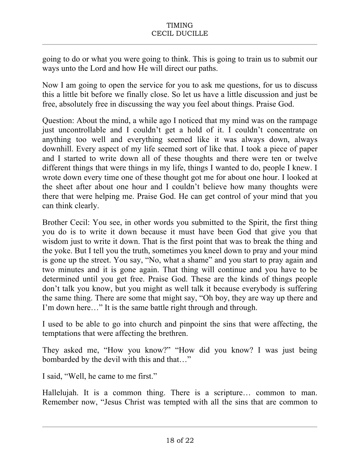going to do or what you were going to think. This is going to train us to submit our ways unto the Lord and how He will direct our paths.

Now I am going to open the service for you to ask me questions, for us to discuss this a little bit before we finally close. So let us have a little discussion and just be free, absolutely free in discussing the way you feel about things. Praise God.

Question: About the mind, a while ago I noticed that my mind was on the rampage just uncontrollable and I couldn't get a hold of it. I couldn't concentrate on anything too well and everything seemed like it was always down, always downhill. Every aspect of my life seemed sort of like that. I took a piece of paper and I started to write down all of these thoughts and there were ten or twelve different things that were things in my life, things I wanted to do, people I knew. I wrote down every time one of these thought got me for about one hour. I looked at the sheet after about one hour and I couldn't believe how many thoughts were there that were helping me. Praise God. He can get control of your mind that you can think clearly.

Brother Cecil: You see, in other words you submitted to the Spirit, the first thing you do is to write it down because it must have been God that give you that wisdom just to write it down. That is the first point that was to break the thing and the yoke. But I tell you the truth, sometimes you kneel down to pray and your mind is gone up the street. You say, "No, what a shame" and you start to pray again and two minutes and it is gone again. That thing will continue and you have to be determined until you get free. Praise God. These are the kinds of things people don't talk you know, but you might as well talk it because everybody is suffering the same thing. There are some that might say, "Oh boy, they are way up there and I'm down here…" It is the same battle right through and through.

I used to be able to go into church and pinpoint the sins that were affecting, the temptations that were affecting the brethren.

They asked me, "How you know?" "How did you know? I was just being bombarded by the devil with this and that…"

I said, "Well, he came to me first."

Hallelujah. It is a common thing. There is a scripture… common to man. Remember now, "Jesus Christ was tempted with all the sins that are common to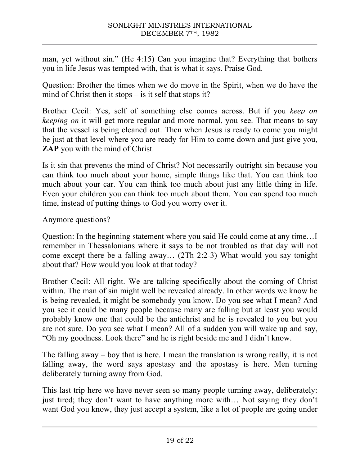man, yet without sin." (He 4:15) Can you imagine that? Everything that bothers you in life Jesus was tempted with, that is what it says. Praise God.

Question: Brother the times when we do move in the Spirit, when we do have the mind of Christ then it stops – is it self that stops it?

Brother Cecil: Yes, self of something else comes across. But if you *keep on keeping on* it will get more regular and more normal, you see. That means to say that the vessel is being cleaned out. Then when Jesus is ready to come you might be just at that level where you are ready for Him to come down and just give you, **ZAP** you with the mind of Christ.

Is it sin that prevents the mind of Christ? Not necessarily outright sin because you can think too much about your home, simple things like that. You can think too much about your car. You can think too much about just any little thing in life. Even your children you can think too much about them. You can spend too much time, instead of putting things to God you worry over it.

Anymore questions?

Question: In the beginning statement where you said He could come at any time…I remember in Thessalonians where it says to be not troubled as that day will not come except there be a falling away… (2Th 2:2-3) What would you say tonight about that? How would you look at that today?

Brother Cecil: All right. We are talking specifically about the coming of Christ within. The man of sin might well be revealed already. In other words we know he is being revealed, it might be somebody you know. Do you see what I mean? And you see it could be many people because many are falling but at least you would probably know one that could be the antichrist and he is revealed to you but you are not sure. Do you see what I mean? All of a sudden you will wake up and say, "Oh my goodness. Look there" and he is right beside me and I didn't know.

The falling away – boy that is here. I mean the translation is wrong really, it is not falling away, the word says apostasy and the apostasy is here. Men turning deliberately turning away from God.

This last trip here we have never seen so many people turning away, deliberately: just tired; they don't want to have anything more with… Not saying they don't want God you know, they just accept a system, like a lot of people are going under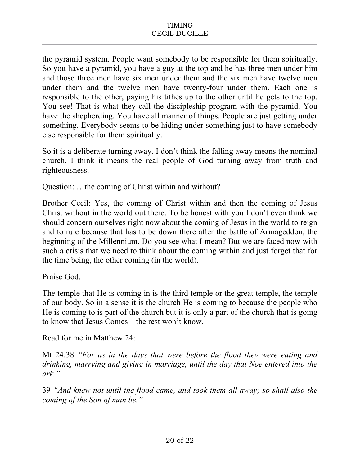the pyramid system. People want somebody to be responsible for them spiritually. So you have a pyramid, you have a guy at the top and he has three men under him and those three men have six men under them and the six men have twelve men under them and the twelve men have twenty-four under them. Each one is responsible to the other, paying his tithes up to the other until he gets to the top. You see! That is what they call the discipleship program with the pyramid. You have the shepherding. You have all manner of things. People are just getting under something. Everybody seems to be hiding under something just to have somebody else responsible for them spiritually.

So it is a deliberate turning away. I don't think the falling away means the nominal church, I think it means the real people of God turning away from truth and righteousness.

Question: …the coming of Christ within and without?

Brother Cecil: Yes, the coming of Christ within and then the coming of Jesus Christ without in the world out there. To be honest with you I don't even think we should concern ourselves right now about the coming of Jesus in the world to reign and to rule because that has to be down there after the battle of Armageddon, the beginning of the Millennium. Do you see what I mean? But we are faced now with such a crisis that we need to think about the coming within and just forget that for the time being, the other coming (in the world).

Praise God.

The temple that He is coming in is the third temple or the great temple, the temple of our body. So in a sense it is the church He is coming to because the people who He is coming to is part of the church but it is only a part of the church that is going to know that Jesus Comes – the rest won't know.

Read for me in Matthew 24:

Mt 24:38 *"For as in the days that were before the flood they were eating and drinking, marrying and giving in marriage, until the day that Noe entered into the ark,"*

39 *"And knew not until the flood came, and took them all away; so shall also the coming of the Son of man be."*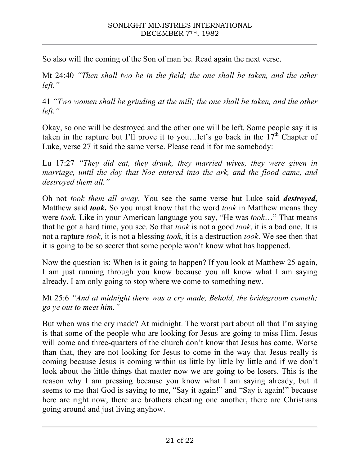So also will the coming of the Son of man be. Read again the next verse.

Mt 24:40 *"Then shall two be in the field; the one shall be taken, and the other left."*

41 *"Two women shall be grinding at the mill; the one shall be taken, and the other left."*

Okay, so one will be destroyed and the other one will be left. Some people say it is taken in the rapture but I'll prove it to you... let's go back in the  $17<sup>th</sup>$  Chapter of Luke, verse 27 it said the same verse. Please read it for me somebody:

Lu 17:27 *"They did eat, they drank, they married wives, they were given in marriage, until the day that Noe entered into the ark, and the flood came, and destroyed them all."*

Oh not *took them all away*. You see the same verse but Luke said *destroyed***,** Matthew said *took***.** So you must know that the word *took* in Matthew means they were *took*. Like in your American language you say, "He was *took*…" That means that he got a hard time, you see. So that *took* is not a good *took*, it is a bad one. It is not a rapture *took*, it is not a blessing *took*, it is a destruction *took*. We see then that it is going to be so secret that some people won't know what has happened.

Now the question is: When is it going to happen? If you look at Matthew 25 again, I am just running through you know because you all know what I am saying already. I am only going to stop where we come to something new.

Mt 25:6 *"And at midnight there was a cry made, Behold, the bridegroom cometh; go ye out to meet him."*

But when was the cry made? At midnight. The worst part about all that I'm saying is that some of the people who are looking for Jesus are going to miss Him. Jesus will come and three-quarters of the church don't know that Jesus has come. Worse than that, they are not looking for Jesus to come in the way that Jesus really is coming because Jesus is coming within us little by little by little and if we don't look about the little things that matter now we are going to be losers. This is the reason why I am pressing because you know what I am saying already, but it seems to me that God is saying to me, "Say it again!" and "Say it again!" because here are right now, there are brothers cheating one another, there are Christians going around and just living anyhow.